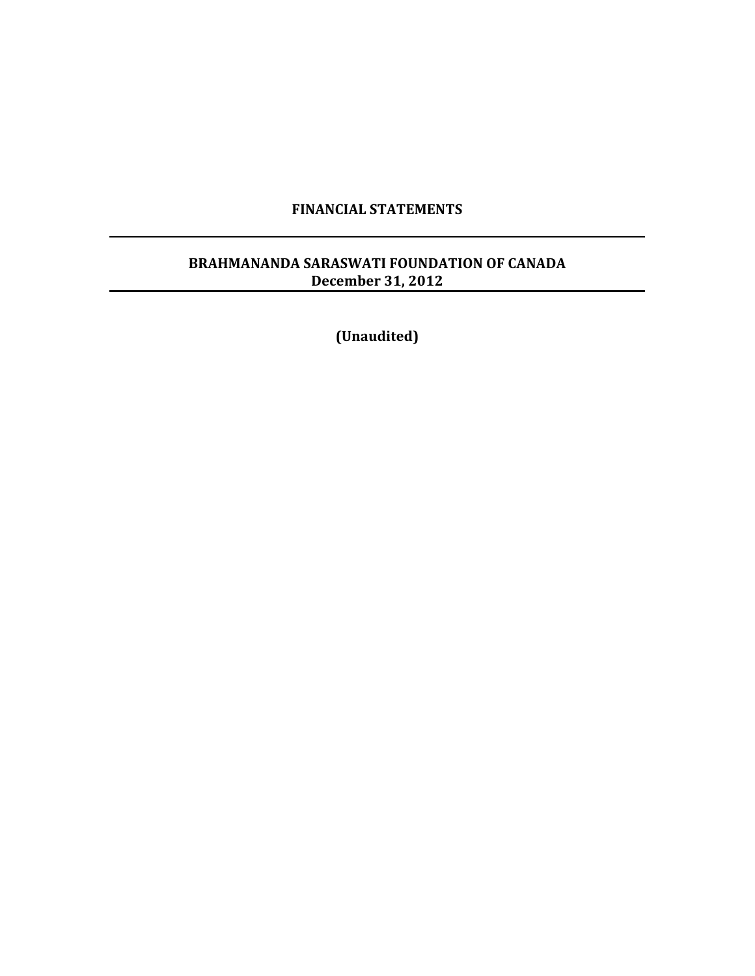#### **FINANCIAL!STATEMENTS**

#### BRAHMANANDA SARASWATI FOUNDATION OF CANADA **December 31, 2012**

**(Unaudited)**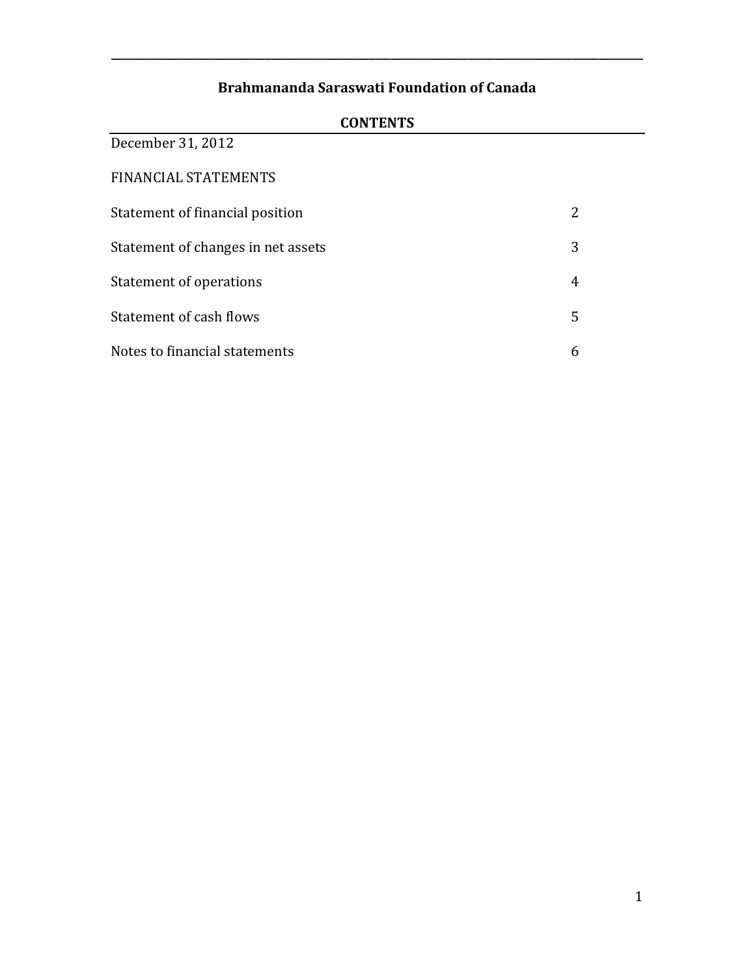**\_\_\_\_\_\_\_\_\_\_\_\_\_\_\_\_\_\_\_\_\_\_\_\_\_\_\_\_\_\_\_\_\_\_\_\_\_\_\_\_\_\_\_\_\_\_\_\_\_\_\_\_\_\_\_\_\_\_\_\_\_\_\_\_\_\_\_\_\_\_\_\_\_\_\_\_\_\_\_\_\_\_\_\_\_\_\_\_\_\_\_\_\_\_\_\_\_**

| December 31, 2012                  |   |
|------------------------------------|---|
| FINANCIAL STATEMENTS               |   |
| Statement of financial position    |   |
| Statement of changes in net assets | 3 |
| Statement of operations            | 4 |
| Statement of cash flows            | 5 |
| Notes to financial statements      | 6 |

#### **CONTENTS**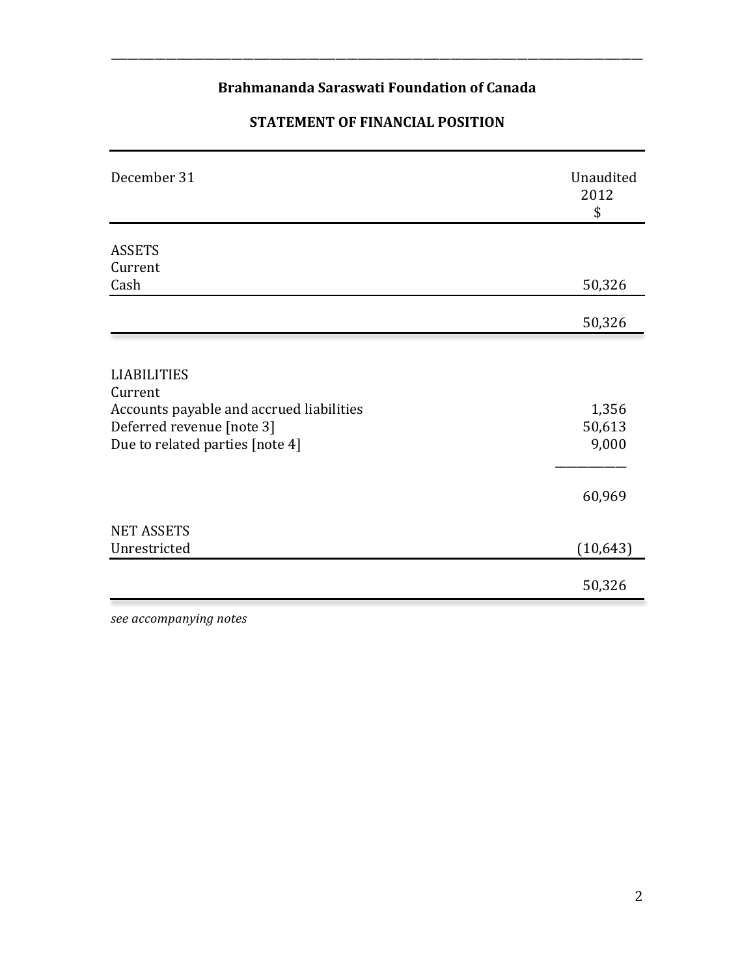\_\_\_\_\_\_\_\_\_\_\_\_\_\_\_\_\_\_\_\_\_\_\_\_\_\_\_\_\_\_\_\_\_\_\_\_\_\_\_\_\_\_\_\_\_\_\_\_\_\_\_\_\_\_\_\_\_\_\_\_\_\_\_\_\_\_\_\_\_\_\_\_\_\_\_\_\_\_\_\_\_\_\_\_\_\_\_\_\_\_\_\_\_\_\_\_\_

# **STATEMENT OF FINANCIAL POSITION**

| December 31                              | Unaudited<br>2012<br>\$ |
|------------------------------------------|-------------------------|
| <b>ASSETS</b>                            |                         |
| Current                                  |                         |
| Cash                                     | 50,326                  |
|                                          | 50,326                  |
|                                          |                         |
| <b>LIABILITIES</b>                       |                         |
| Current                                  |                         |
| Accounts payable and accrued liabilities | 1,356                   |
| Deferred revenue [note 3]                | 50,613                  |
| Due to related parties [note 4]          | 9,000                   |
|                                          | 60,969                  |
| <b>NET ASSETS</b>                        |                         |
| Unrestricted                             | (10, 643)               |
|                                          | 50,326                  |

*see#accompanying#notes*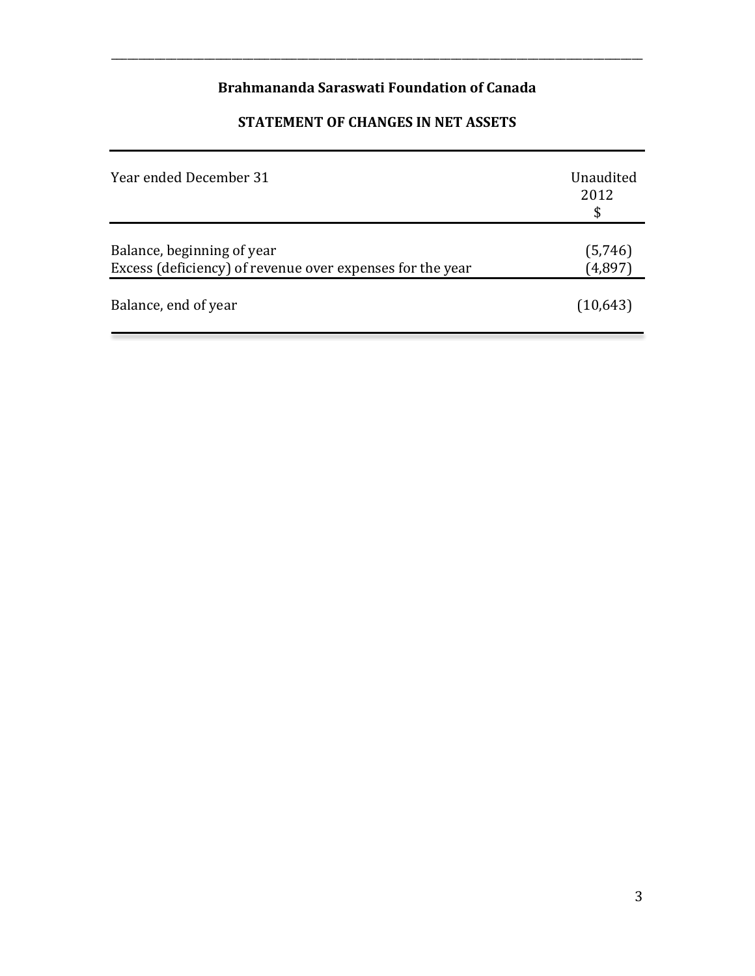\_\_\_\_\_\_\_\_\_\_\_\_\_\_\_\_\_\_\_\_\_\_\_\_\_\_\_\_\_\_\_\_\_\_\_\_\_\_\_\_\_\_\_\_\_\_\_\_\_\_\_\_\_\_\_\_\_\_\_\_\_\_\_\_\_\_\_\_\_\_\_\_\_\_\_\_\_\_\_\_\_\_\_\_\_\_\_\_\_\_\_\_\_\_\_\_\_

# **STATEMENT OF CHANGES IN NET ASSETS**

| Year ended December 31                                                                  | Unaudited<br>2012  |
|-----------------------------------------------------------------------------------------|--------------------|
| Balance, beginning of year<br>Excess (deficiency) of revenue over expenses for the year | (5,746)<br>(4,897) |
| Balance, end of year                                                                    | (10,643)           |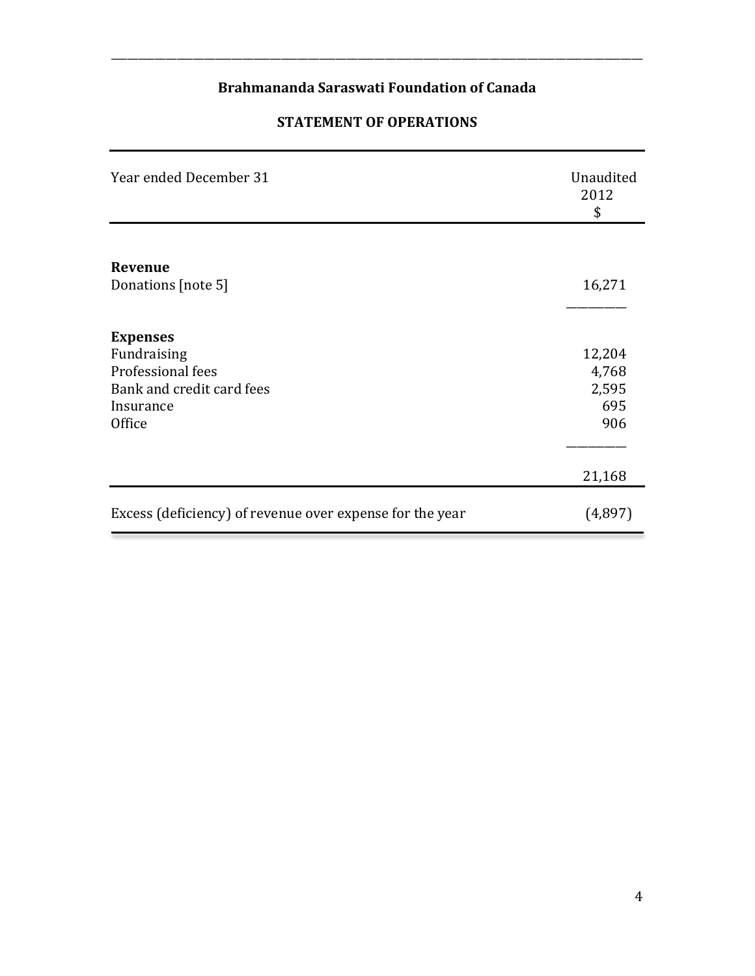\_\_\_\_\_\_\_\_\_\_\_\_\_\_\_\_\_\_\_\_\_\_\_\_\_\_\_\_\_\_\_\_\_\_\_\_\_\_\_\_\_\_\_\_\_\_\_\_\_\_\_\_\_\_\_\_\_\_\_\_\_\_\_\_\_\_\_\_\_\_\_\_\_\_\_\_\_\_\_\_\_\_\_\_\_\_\_\_\_\_\_\_\_\_\_\_\_

#### **STATEMENT OF OPERATIONS**

| Year ended December 31                                   | Unaudited<br>2012<br>\$ |
|----------------------------------------------------------|-------------------------|
|                                                          |                         |
| Revenue                                                  |                         |
| Donations [note 5]                                       | 16,271                  |
|                                                          |                         |
| <b>Expenses</b>                                          |                         |
| Fundraising                                              | 12,204                  |
| Professional fees                                        | 4,768                   |
| Bank and credit card fees                                | 2,595                   |
| Insurance                                                | 695                     |
| Office                                                   | 906                     |
|                                                          |                         |
|                                                          | 21,168                  |
| Excess (deficiency) of revenue over expense for the year | (4,897)                 |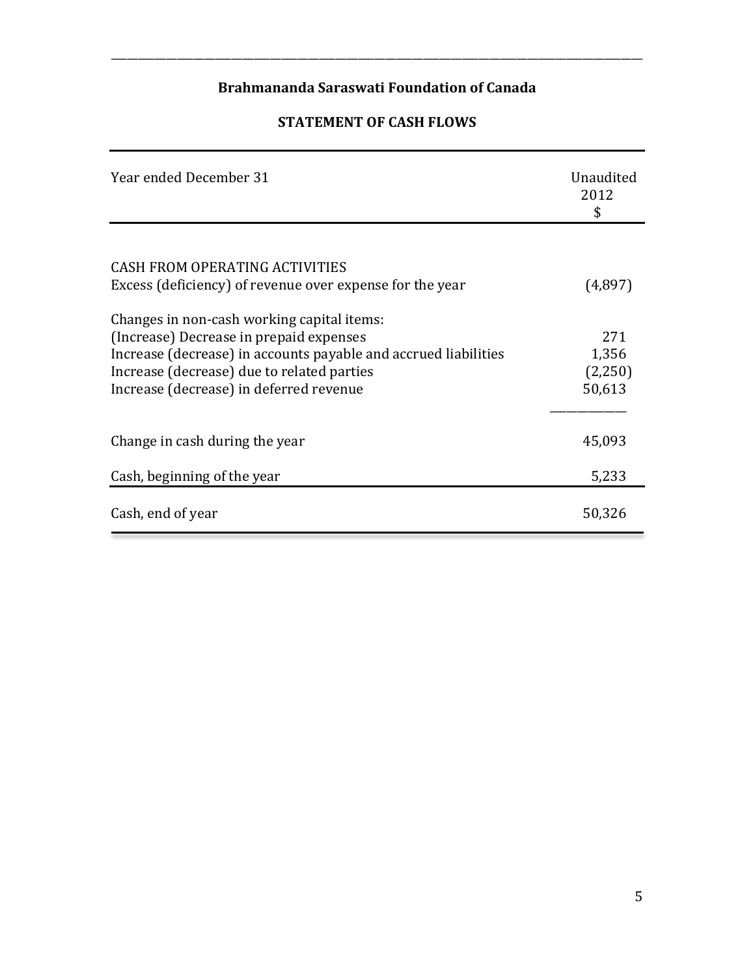\_\_\_\_\_\_\_\_\_\_\_\_\_\_\_\_\_\_\_\_\_\_\_\_\_\_\_\_\_\_\_\_\_\_\_\_\_\_\_\_\_\_\_\_\_\_\_\_\_\_\_\_\_\_\_\_\_\_\_\_\_\_\_\_\_\_\_\_\_\_\_\_\_\_\_\_\_\_\_\_\_\_\_\_\_\_\_\_\_\_\_\_\_\_\_\_\_

### **STATEMENT OF CASH FLOWS**

| Year ended December 31                                          | Unaudited<br>2012<br>\$ |
|-----------------------------------------------------------------|-------------------------|
|                                                                 |                         |
| <b>CASH FROM OPERATING ACTIVITIES</b>                           |                         |
| Excess (deficiency) of revenue over expense for the year        | (4,897)                 |
| Changes in non-cash working capital items:                      |                         |
| (Increase) Decrease in prepaid expenses                         | 271                     |
| Increase (decrease) in accounts payable and accrued liabilities | 1,356                   |
| Increase (decrease) due to related parties                      | (2,250)                 |
| Increase (decrease) in deferred revenue                         | 50,613                  |
|                                                                 |                         |
| Change in cash during the year                                  | 45,093                  |
| Cash, beginning of the year                                     | 5,233                   |
| Cash, end of year                                               | 50,326                  |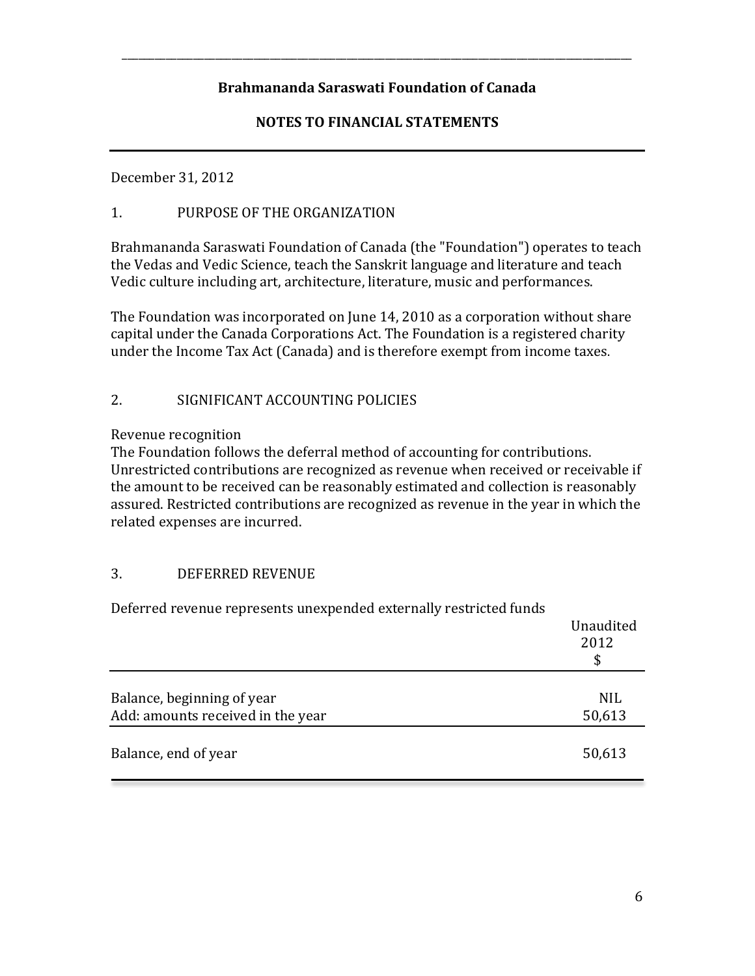\_\_\_\_\_\_\_\_\_\_\_\_\_\_\_\_\_\_\_\_\_\_\_\_\_\_\_\_\_\_\_\_\_\_\_\_\_\_\_\_\_\_\_\_\_\_\_\_\_\_\_\_\_\_\_\_\_\_\_\_\_\_\_\_\_\_\_\_\_\_\_\_\_\_\_\_\_\_\_\_\_\_\_\_\_\_\_\_\_\_\_\_\_

### **NOTES TO FINANCIAL STATEMENTS**

December 31, 2012

#### 1. PURPOSE OF THE ORGANIZATION

Brahmananda Saraswati Foundation of Canada (the "Foundation") operates to teach the Vedas and Vedic Science, teach the Sanskrit language and literature and teach Vedic culture including art, architecture, literature, music and performances.

The Foundation was incorporated on June 14, 2010 as a corporation without share capital under the Canada Corporations Act. The Foundation is a registered charity under the Income Tax Act (Canada) and is therefore exempt from income taxes.

#### 2. SIGNIFICANT ACCOUNTING POLICIES

Revenue recognition

The Foundation follows the deferral method of accounting for contributions. Unrestricted contributions are recognized as revenue when received or receivable if the amount to be received can be reasonably estimated and collection is reasonably assured. Restricted contributions are recognized as revenue in the year in which the related expenses are incurred.

#### 3. DEFERRED REVENUE

| Deferred revenue represents unexpended externally restricted funds | Unaudited<br>2012<br>\$ |
|--------------------------------------------------------------------|-------------------------|
| Balance, beginning of year<br>Add: amounts received in the year    | <b>NIL</b><br>50,613    |
| Balance, end of year                                               | 50,613                  |

Deferred revenue represents unexpended externally restricted funds